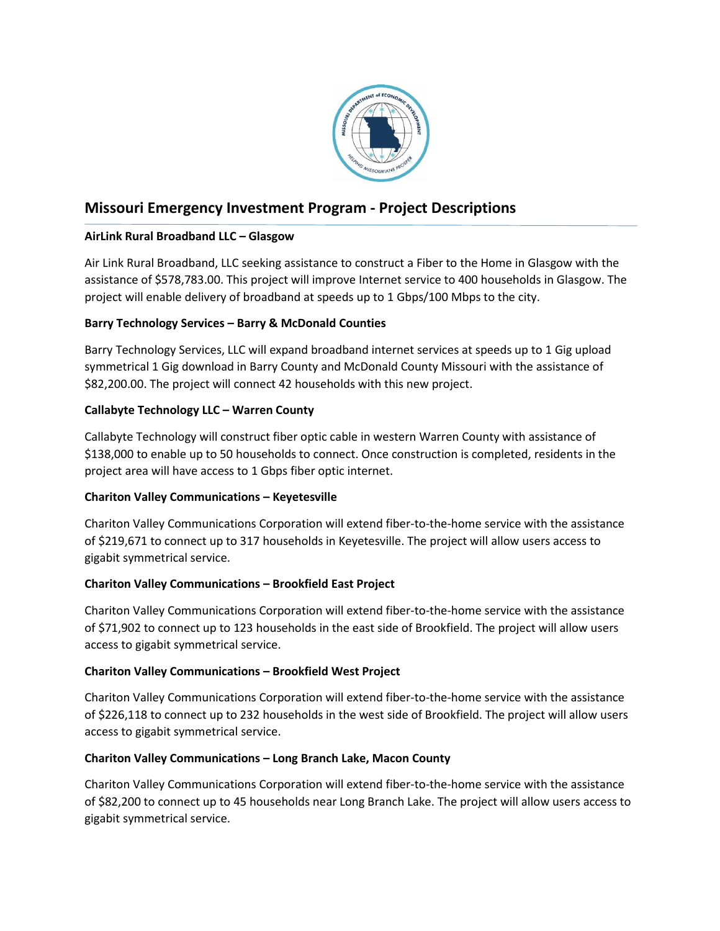

# **Missouri Emergency Investment Program - Project Descriptions**

# **AirLink Rural Broadband LLC – Glasgow**

Air Link Rural Broadband, LLC seeking assistance to construct a Fiber to the Home in Glasgow with the assistance of \$578,783.00. This project will improve Internet service to 400 households in Glasgow. The project will enable delivery of broadband at speeds up to 1 Gbps/100 Mbps to the city.

# **Barry Technology Services – Barry & McDonald Counties**

Barry Technology Services, LLC will expand broadband internet services at speeds up to 1 Gig upload symmetrical 1 Gig download in Barry County and McDonald County Missouri with the assistance of \$82,200.00. The project will connect 42 households with this new project.

# **Callabyte Technology LLC – Warren County**

Callabyte Technology will construct fiber optic cable in western Warren County with assistance of \$138,000 to enable up to 50 households to connect. Once construction is completed, residents in the project area will have access to 1 Gbps fiber optic internet.

# **Chariton Valley Communications – Keyetesville**

Chariton Valley Communications Corporation will extend fiber-to-the-home service with the assistance of \$219,671 to connect up to 317 households in Keyetesville. The project will allow users access to gigabit symmetrical service.

# **Chariton Valley Communications – Brookfield East Project**

Chariton Valley Communications Corporation will extend fiber-to-the-home service with the assistance of \$71,902 to connect up to 123 households in the east side of Brookfield. The project will allow users access to gigabit symmetrical service.

# **Chariton Valley Communications – Brookfield West Project**

Chariton Valley Communications Corporation will extend fiber-to-the-home service with the assistance of \$226,118 to connect up to 232 households in the west side of Brookfield. The project will allow users access to gigabit symmetrical service.

# **Chariton Valley Communications – Long Branch Lake, Macon County**

Chariton Valley Communications Corporation will extend fiber-to-the-home service with the assistance of \$82,200 to connect up to 45 households near Long Branch Lake. The project will allow users access to gigabit symmetrical service.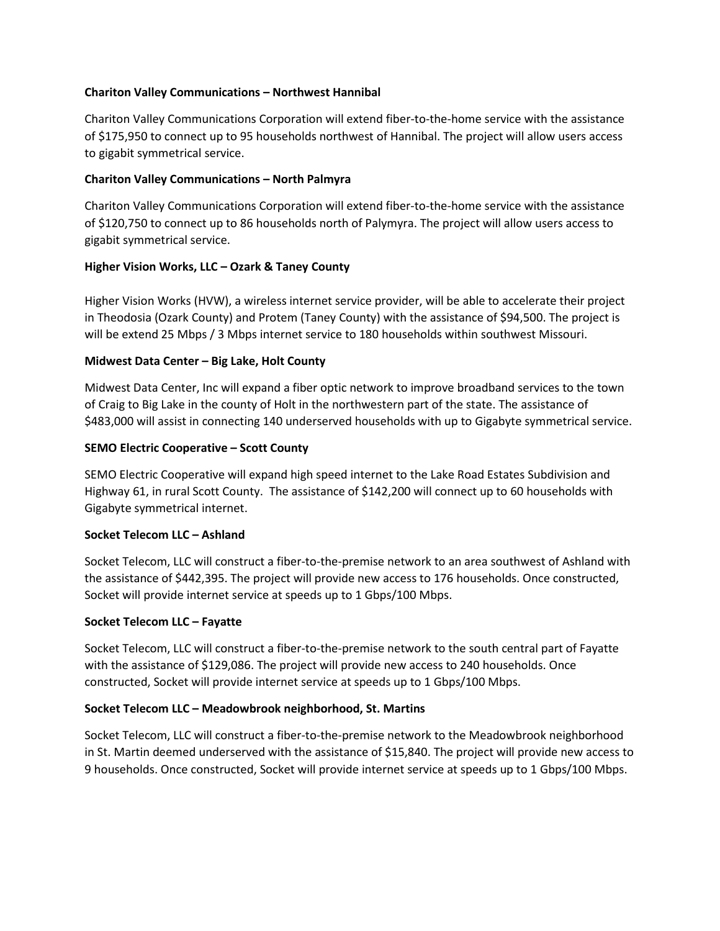### **Chariton Valley Communications – Northwest Hannibal**

Chariton Valley Communications Corporation will extend fiber-to-the-home service with the assistance of \$175,950 to connect up to 95 households northwest of Hannibal. The project will allow users access to gigabit symmetrical service.

### **Chariton Valley Communications – North Palmyra**

Chariton Valley Communications Corporation will extend fiber-to-the-home service with the assistance of \$120,750 to connect up to 86 households north of Palymyra. The project will allow users access to gigabit symmetrical service.

## **Higher Vision Works, LLC – Ozark & Taney County**

Higher Vision Works (HVW), a wireless internet service provider, will be able to accelerate their project in Theodosia (Ozark County) and Protem (Taney County) with the assistance of \$94,500. The project is will be extend 25 Mbps / 3 Mbps internet service to 180 households within southwest Missouri.

## **Midwest Data Center – Big Lake, Holt County**

Midwest Data Center, Inc will expand a fiber optic network to improve broadband services to the town of Craig to Big Lake in the county of Holt in the northwestern part of the state. The assistance of \$483,000 will assist in connecting 140 underserved households with up to Gigabyte symmetrical service.

## **SEMO Electric Cooperative – Scott County**

SEMO Electric Cooperative will expand high speed internet to the Lake Road Estates Subdivision and Highway 61, in rural Scott County. The assistance of \$142,200 will connect up to 60 households with Gigabyte symmetrical internet.

#### **Socket Telecom LLC – Ashland**

Socket Telecom, LLC will construct a fiber-to-the-premise network to an area southwest of Ashland with the assistance of \$442,395. The project will provide new access to 176 households. Once constructed, Socket will provide internet service at speeds up to 1 Gbps/100 Mbps.

#### **Socket Telecom LLC – Fayatte**

Socket Telecom, LLC will construct a fiber-to-the-premise network to the south central part of Fayatte with the assistance of \$129,086. The project will provide new access to 240 households. Once constructed, Socket will provide internet service at speeds up to 1 Gbps/100 Mbps.

#### **Socket Telecom LLC – Meadowbrook neighborhood, St. Martins**

Socket Telecom, LLC will construct a fiber-to-the-premise network to the Meadowbrook neighborhood in St. Martin deemed underserved with the assistance of \$15,840. The project will provide new access to 9 households. Once constructed, Socket will provide internet service at speeds up to 1 Gbps/100 Mbps.